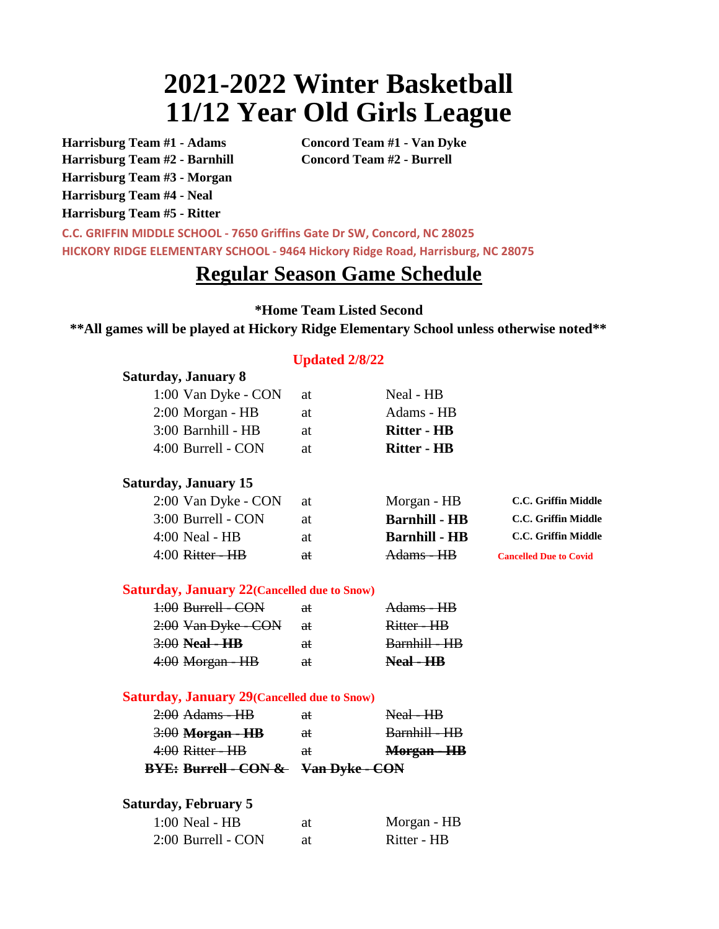## **2021-2022 Winter Basketball 11/12 Year Old Girls League**

**Harrisburg Team #1 - Adams Concord Team #1 - Van Dyke Harrisburg Team #2 - Barnhill Concord Team #2 - Burrell Harrisburg Team #3 - Morgan Harrisburg Team #4 - Neal Harrisburg Team #5 - Ritter**

**Saturday, January 8**

**C.C. GRIFFIN MIDDLE SCHOOL - 7650 Griffins Gate Dr SW, Concord, NC 28025 HICKORY RIDGE ELEMENTARY SCHOOL - 9464 Hickory Ridge Road, Harrisburg, NC 28075**

## **Regular Season Game Schedule**

**\*Home Team Listed Second**

**\*\*All games will be played at Hickory Ridge Elementary School unless otherwise noted\*\*** 

## **Updated 2/8/22**

| 1:00 Van Dyke - CON                                 | at            | Neal - HB            |                               |
|-----------------------------------------------------|---------------|----------------------|-------------------------------|
| 2:00 Morgan - HB                                    | at            | Adams - HB           |                               |
| 3:00 Barnhill - HB                                  | at            | <b>Ritter - HB</b>   |                               |
| 4:00 Burrell - CON                                  | at            | <b>Ritter - HB</b>   |                               |
| <b>Saturday, January 15</b>                         |               |                      |                               |
| 2:00 Van Dyke - CON                                 | at            | Morgan - HB          | C.C. Griffin Middle           |
| 3:00 Burrell - CON                                  | at            | <b>Barnhill - HB</b> | C.C. Griffin Middle           |
| $4:00$ Neal - HB                                    | at            | <b>Barnhill - HB</b> | C.C. Griffin Middle           |
| $4:00$ Ritter - $HB$                                | at            | Adams - HB           | <b>Cancelled Due to Covid</b> |
| <b>Saturday, January 22 (Cancelled due to Snow)</b> |               |                      |                               |
| 1:00 Burrell - CON                                  | aŧ            | Adams - HB           |                               |
| 2:00 Van Dyke - CON                                 | aŧ            | Ritter - HB          |                               |
| $3:00$ Neal - HB                                    | <del>at</del> | Barnhill - HB        |                               |
| 4:00 Morgan - HB                                    | aŧ            | Neal - HB            |                               |
| <b>Saturday, January 29 (Cancelled due to Snow)</b> |               |                      |                               |
| $2:00$ Adams - HB                                   | aŧ            | Neal - HB            |                               |
| <del>3:00</del> <b>Morgan - HB</b>                  | at            | Barnhill - HB        |                               |
| $4:00$ Ritter - $HB$                                | at            | Morgan - HB          |                               |
| <b>BYE: Burrell - CON &amp; Van Dyke - CON</b>      |               |                      |                               |
| <b>Saturday, February 5</b>                         |               |                      |                               |
| $1:00$ Neal - HB                                    | at            | Morgan - HB          |                               |
| 2:00 Burrell - CON                                  | at            | Ritter - HB          |                               |